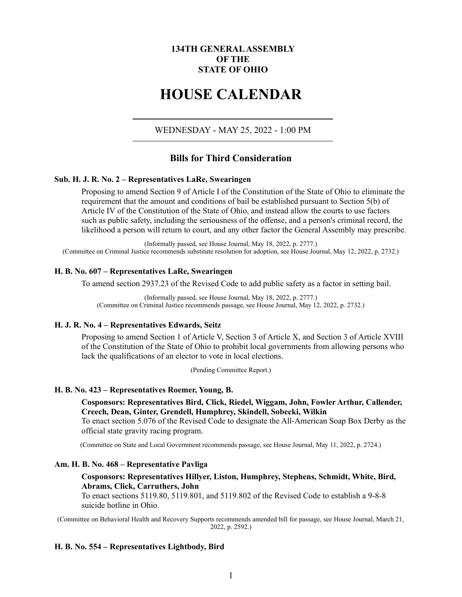# **134TH GENERAL ASSEMBLY OF THE STATE OF OHIO**

# **HOUSE CALENDAR**

WEDNESDAY - MAY 25, 2022 - 1:00 PM

# **Bills for Third Consideration**

# **Sub. H. J. R. No. 2 – Representatives LaRe, Swearingen**

Proposing to amend Section 9 of Article I of the Constitution of the State of Ohio to eliminate the requirement that the amount and conditions of bail be established pursuant to Section 5(b) of Article IV of the Constitution of the State of Ohio, and instead allow the courts to use factors such as public safety, including the seriousness of the offense, and a person's criminal record, the likelihood a person will return to court, and any other factor the General Assembly may prescribe.

(Informally passed, see House Journal, May 18, 2022, p. 2777.) (Committee on Criminal Justice recommends substitute resolution for adoption, see House Journal, May 12, 2022, p. 2732.)

#### **H. B. No. 607 – Representatives LaRe, Swearingen**

To amend section 2937.23 of the Revised Code to add public safety as a factor in setting bail.

(Informally passed, see House Journal, May 18, 2022, p. 2777.) (Committee on Criminal Justice recommends passage, see House Journal, May 12, 2022, p. 2732.)

### **H. J. R. No. 4 – Representatives Edwards, Seitz**

Proposing to amend Section 1 of Article V, Section 3 of Article X, and Section 3 of Article XVIII of the Constitution of the State of Ohio to prohibit local governments from allowing persons who lack the qualifications of an elector to vote in local elections.

(Pending Committee Report.)

### **H. B. No. 423 – Representatives Roemer, Young, B.**

**Cosponsors: Representatives Bird, Click, Riedel, Wiggam, John, Fowler Arthur, Callender, Creech, Dean, Ginter, Grendell, Humphrey, Skindell, Sobecki, Wilkin**

To enact section 5.076 of the Revised Code to designate the All-American Soap Box Derby as the official state gravity racing program.

(Committee on State and Local Government recommends passage, see House Journal, May 11, 2022, p. 2724.)

# **Am. H. B. No. 468 – Representative Pavliga**

# **Cosponsors: Representatives Hillyer, Liston, Humphrey, Stephens, Schmidt, White, Bird, Abrams, Click, Carruthers, John**

To enact sections 5119.80, 5119.801, and 5119.802 of the Revised Code to establish a 9-8-8 suicide hotline in Ohio.

(Committee on Behavioral Health and Recovery Supports recommends amended bill for passage, see House Journal, March 21, 2022, p. 2592.)

# **H. B. No. 554 – Representatives Lightbody, Bird**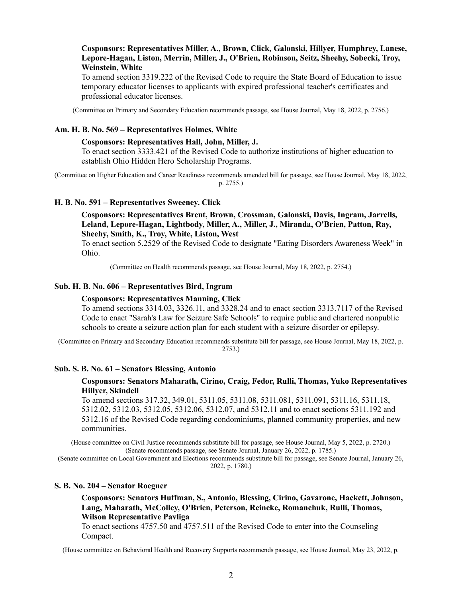# **Cosponsors: Representatives Miller, A., Brown, Click, Galonski, Hillyer, Humphrey, Lanese, Lepore-Hagan, Liston, Merrin, Miller, J., O'Brien, Robinson, Seitz, Sheehy, Sobecki, Troy, Weinstein, White**

To amend section 3319.222 of the Revised Code to require the State Board of Education to issue temporary educator licenses to applicants with expired professional teacher's certificates and professional educator licenses.

(Committee on Primary and Secondary Education recommends passage, see House Journal, May 18, 2022, p. 2756.)

# **Am. H. B. No. 569 – Representatives Holmes, White**

# **Cosponsors: Representatives Hall, John, Miller, J.**

To enact section 3333.421 of the Revised Code to authorize institutions of higher education to establish Ohio Hidden Hero Scholarship Programs.

(Committee on Higher Education and Career Readiness recommends amended bill for passage, see House Journal, May 18, 2022, p. 2755.)

### **H. B. No. 591 – Representatives Sweeney, Click**

**Cosponsors: Representatives Brent, Brown, Crossman, Galonski, Davis, Ingram, Jarrells, Leland, Lepore-Hagan, Lightbody, Miller, A., Miller, J., Miranda, O'Brien, Patton, Ray, Sheehy, Smith, K., Troy, White, Liston, West**

To enact section 5.2529 of the Revised Code to designate "Eating Disorders Awareness Week" in Ohio.

(Committee on Health recommends passage, see House Journal, May 18, 2022, p. 2754.)

### **Sub. H. B. No. 606 – Representatives Bird, Ingram**

#### **Cosponsors: Representatives Manning, Click**

To amend sections 3314.03, 3326.11, and 3328.24 and to enact section 3313.7117 of the Revised Code to enact "Sarah's Law for Seizure Safe Schools" to require public and chartered nonpublic schools to create a seizure action plan for each student with a seizure disorder or epilepsy.

(Committee on Primary and Secondary Education recommends substitute bill for passage, see House Journal, May 18, 2022, p. 2753.)

# **Sub. S. B. No. 61 – Senators Blessing, Antonio**

# **Cosponsors: Senators Maharath, Cirino, Craig, Fedor, Rulli, Thomas, Yuko Representatives Hillyer, Skindell**

To amend sections 317.32, 349.01, 5311.05, 5311.08, 5311.081, 5311.091, 5311.16, 5311.18, 5312.02, 5312.03, 5312.05, 5312.06, 5312.07, and 5312.11 and to enact sections 5311.192 and 5312.16 of the Revised Code regarding condominiums, planned community properties, and new communities.

(House committee on Civil Justice recommends substitute bill for passage, see House Journal, May 5, 2022, p. 2720.) (Senate recommends passage, see Senate Journal, January 26, 2022, p. 1785.)

(Senate committee on Local Government and Elections recommends substitute bill for passage, see Senate Journal, January 26, 2022, p. 1780.)

# **S. B. No. 204 – Senator Roegner**

**Cosponsors: Senators Huffman, S., Antonio, Blessing, Cirino, Gavarone, Hackett, Johnson, Lang, Maharath, McColley, O'Brien, Peterson, Reineke, Romanchuk, Rulli, Thomas, Wilson Representative Pavliga**

To enact sections 4757.50 and 4757.511 of the Revised Code to enter into the Counseling Compact.

(House committee on Behavioral Health and Recovery Supports recommends passage, see House Journal, May 23, 2022, p.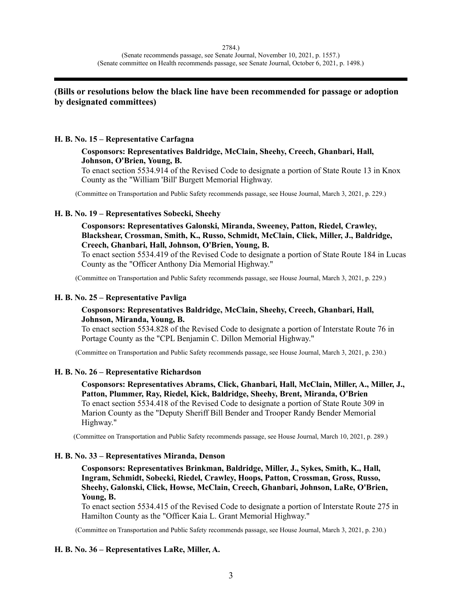# **(Bills or resolutions below the black line have been recommended for passage or adoption by designated committees)**

# **H. B. No. 15 – Representative Carfagna**

# **Cosponsors: Representatives Baldridge, McClain, Sheehy, Creech, Ghanbari, Hall, Johnson, O'Brien, Young, B.**

To enact section 5534.914 of the Revised Code to designate a portion of State Route 13 in Knox County as the "William 'Bill' Burgett Memorial Highway.

(Committee on Transportation and Public Safety recommends passage, see House Journal, March 3, 2021, p. 229.)

# **H. B. No. 19 – Representatives Sobecki, Sheehy**

# **Cosponsors: Representatives Galonski, Miranda, Sweeney, Patton, Riedel, Crawley, Blackshear, Crossman, Smith, K., Russo, Schmidt, McClain, Click, Miller, J., Baldridge, Creech, Ghanbari, Hall, Johnson, O'Brien, Young, B.**

To enact section 5534.419 of the Revised Code to designate a portion of State Route 184 in Lucas County as the "Officer Anthony Dia Memorial Highway."

(Committee on Transportation and Public Safety recommends passage, see House Journal, March 3, 2021, p. 229.)

# **H. B. No. 25 – Representative Pavliga**

# **Cosponsors: Representatives Baldridge, McClain, Sheehy, Creech, Ghanbari, Hall, Johnson, Miranda, Young, B.**

To enact section 5534.828 of the Revised Code to designate a portion of Interstate Route 76 in Portage County as the "CPL Benjamin C. Dillon Memorial Highway."

(Committee on Transportation and Public Safety recommends passage, see House Journal, March 3, 2021, p. 230.)

# **H. B. No. 26 – Representative Richardson**

**Cosponsors: Representatives Abrams, Click, Ghanbari, Hall, McClain, Miller, A., Miller, J., Patton, Plummer, Ray, Riedel, Kick, Baldridge, Sheehy, Brent, Miranda, O'Brien** To enact section 5534.418 of the Revised Code to designate a portion of State Route 309 in Marion County as the "Deputy Sheriff Bill Bender and Trooper Randy Bender Memorial Highway."

(Committee on Transportation and Public Safety recommends passage, see House Journal, March 10, 2021, p. 289.)

# **H. B. No. 33 – Representatives Miranda, Denson**

**Cosponsors: Representatives Brinkman, Baldridge, Miller, J., Sykes, Smith, K., Hall, Ingram, Schmidt, Sobecki, Riedel, Crawley, Hoops, Patton, Crossman, Gross, Russo, Sheehy, Galonski, Click, Howse, McClain, Creech, Ghanbari, Johnson, LaRe, O'Brien, Young, B.**

To enact section 5534.415 of the Revised Code to designate a portion of Interstate Route 275 in Hamilton County as the "Officer Kaia L. Grant Memorial Highway."

(Committee on Transportation and Public Safety recommends passage, see House Journal, March 3, 2021, p. 230.)

# **H. B. No. 36 – Representatives LaRe, Miller, A.**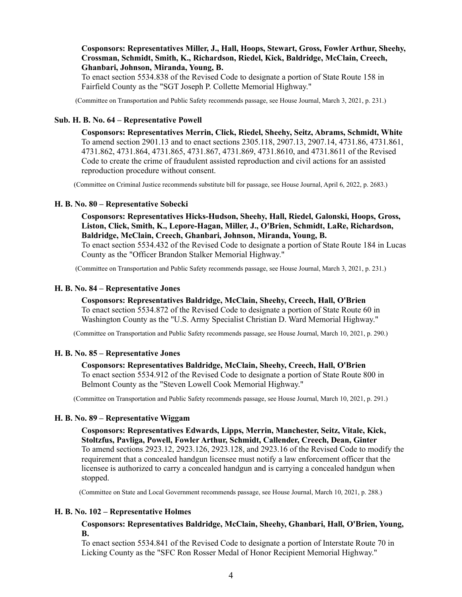# **Cosponsors: Representatives Miller, J., Hall, Hoops, Stewart, Gross, Fowler Arthur, Sheehy, Crossman, Schmidt, Smith, K., Richardson, Riedel, Kick, Baldridge, McClain, Creech, Ghanbari, Johnson, Miranda, Young, B.**

To enact section 5534.838 of the Revised Code to designate a portion of State Route 158 in Fairfield County as the "SGT Joseph P. Collette Memorial Highway."

(Committee on Transportation and Public Safety recommends passage, see House Journal, March 3, 2021, p. 231.)

# **Sub. H. B. No. 64 – Representative Powell**

**Cosponsors: Representatives Merrin, Click, Riedel, Sheehy, Seitz, Abrams, Schmidt, White** To amend section 2901.13 and to enact sections 2305.118, 2907.13, 2907.14, 4731.86, 4731.861, 4731.862, 4731.864, 4731.865, 4731.867, 4731.869, 4731.8610, and 4731.8611 of the Revised Code to create the crime of fraudulent assisted reproduction and civil actions for an assisted reproduction procedure without consent.

(Committee on Criminal Justice recommends substitute bill for passage, see House Journal, April 6, 2022, p. 2683.)

#### **H. B. No. 80 – Representative Sobecki**

**Cosponsors: Representatives Hicks-Hudson, Sheehy, Hall, Riedel, Galonski, Hoops, Gross, Liston, Click, Smith, K., Lepore-Hagan, Miller, J., O'Brien, Schmidt, LaRe, Richardson, Baldridge, McClain, Creech, Ghanbari, Johnson, Miranda, Young, B.** To enact section 5534.432 of the Revised Code to designate a portion of State Route 184 in Lucas

County as the "Officer Brandon Stalker Memorial Highway."

(Committee on Transportation and Public Safety recommends passage, see House Journal, March 3, 2021, p. 231.)

#### **H. B. No. 84 – Representative Jones**

# **Cosponsors: Representatives Baldridge, McClain, Sheehy, Creech, Hall, O'Brien**

To enact section 5534.872 of the Revised Code to designate a portion of State Route 60 in Washington County as the "U.S. Army Specialist Christian D. Ward Memorial Highway."

(Committee on Transportation and Public Safety recommends passage, see House Journal, March 10, 2021, p. 290.)

# **H. B. No. 85 – Representative Jones**

# **Cosponsors: Representatives Baldridge, McClain, Sheehy, Creech, Hall, O'Brien**

To enact section 5534.912 of the Revised Code to designate a portion of State Route 800 in Belmont County as the "Steven Lowell Cook Memorial Highway."

(Committee on Transportation and Public Safety recommends passage, see House Journal, March 10, 2021, p. 291.)

# **H. B. No. 89 – Representative Wiggam**

**Cosponsors: Representatives Edwards, Lipps, Merrin, Manchester, Seitz, Vitale, Kick, Stoltzfus, Pavliga, Powell, Fowler Arthur, Schmidt, Callender, Creech, Dean, Ginter** To amend sections 2923.12, 2923.126, 2923.128, and 2923.16 of the Revised Code to modify the requirement that a concealed handgun licensee must notify a law enforcement officer that the licensee is authorized to carry a concealed handgun and is carrying a concealed handgun when stopped.

(Committee on State and Local Government recommends passage, see House Journal, March 10, 2021, p. 288.)

# **H. B. No. 102 – Representative Holmes**

# **Cosponsors: Representatives Baldridge, McClain, Sheehy, Ghanbari, Hall, O'Brien, Young, B.**

To enact section 5534.841 of the Revised Code to designate a portion of Interstate Route 70 in Licking County as the "SFC Ron Rosser Medal of Honor Recipient Memorial Highway."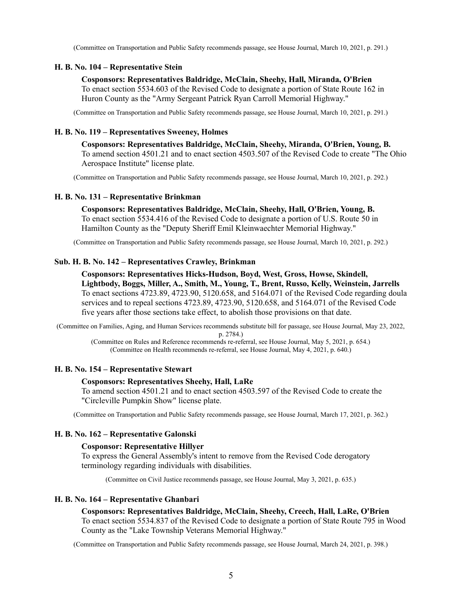(Committee on Transportation and Public Safety recommends passage, see House Journal, March 10, 2021, p. 291.)

### **H. B. No. 104 – Representative Stein**

#### **Cosponsors: Representatives Baldridge, McClain, Sheehy, Hall, Miranda, O'Brien**

To enact section 5534.603 of the Revised Code to designate a portion of State Route 162 in Huron County as the "Army Sergeant Patrick Ryan Carroll Memorial Highway."

(Committee on Transportation and Public Safety recommends passage, see House Journal, March 10, 2021, p. 291.)

# **H. B. No. 119 – Representatives Sweeney, Holmes**

**Cosponsors: Representatives Baldridge, McClain, Sheehy, Miranda, O'Brien, Young, B.** To amend section 4501.21 and to enact section 4503.507 of the Revised Code to create "The Ohio Aerospace Institute" license plate.

(Committee on Transportation and Public Safety recommends passage, see House Journal, March 10, 2021, p. 292.)

### **H. B. No. 131 – Representative Brinkman**

**Cosponsors: Representatives Baldridge, McClain, Sheehy, Hall, O'Brien, Young, B.** To enact section 5534.416 of the Revised Code to designate a portion of U.S. Route 50 in Hamilton County as the "Deputy Sheriff Emil Kleinwaechter Memorial Highway."

(Committee on Transportation and Public Safety recommends passage, see House Journal, March 10, 2021, p. 292.)

### **Sub. H. B. No. 142 – Representatives Crawley, Brinkman**

**Cosponsors: Representatives Hicks-Hudson, Boyd, West, Gross, Howse, Skindell, Lightbody, Boggs, Miller, A., Smith, M., Young, T., Brent, Russo, Kelly, Weinstein, Jarrells** To enact sections 4723.89, 4723.90, 5120.658, and 5164.071 of the Revised Code regarding doula services and to repeal sections 4723.89, 4723.90, 5120.658, and 5164.071 of the Revised Code five years after those sections take effect, to abolish those provisions on that date.

(Committee on Families, Aging, and Human Services recommends substitute bill for passage, see House Journal, May 23, 2022, p. 2784.)

(Committee on Rules and Reference recommends re-referral, see House Journal, May 5, 2021, p. 654.) (Committee on Health recommends re-referral, see House Journal, May 4, 2021, p. 640.)

### **H. B. No. 154 – Representative Stewart**

#### **Cosponsors: Representatives Sheehy, Hall, LaRe**

To amend section 4501.21 and to enact section 4503.597 of the Revised Code to create the "Circleville Pumpkin Show" license plate.

(Committee on Transportation and Public Safety recommends passage, see House Journal, March 17, 2021, p. 362.)

#### **H. B. No. 162 – Representative Galonski**

#### **Cosponsor: Representative Hillyer**

To express the General Assembly's intent to remove from the Revised Code derogatory terminology regarding individuals with disabilities.

(Committee on Civil Justice recommends passage, see House Journal, May 3, 2021, p. 635.)

#### **H. B. No. 164 – Representative Ghanbari**

**Cosponsors: Representatives Baldridge, McClain, Sheehy, Creech, Hall, LaRe, O'Brien** To enact section 5534.837 of the Revised Code to designate a portion of State Route 795 in Wood County as the "Lake Township Veterans Memorial Highway."

(Committee on Transportation and Public Safety recommends passage, see House Journal, March 24, 2021, p. 398.)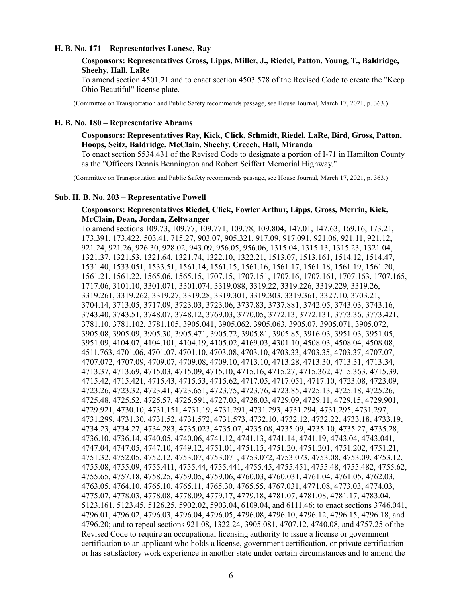### **H. B. No. 171 – Representatives Lanese, Ray**

# **Cosponsors: Representatives Gross, Lipps, Miller, J., Riedel, Patton, Young, T., Baldridge, Sheehy, Hall, LaRe**

To amend section 4501.21 and to enact section 4503.578 of the Revised Code to create the "Keep Ohio Beautiful" license plate.

(Committee on Transportation and Public Safety recommends passage, see House Journal, March 17, 2021, p. 363.)

#### **H. B. No. 180 – Representative Abrams**

# **Cosponsors: Representatives Ray, Kick, Click, Schmidt, Riedel, LaRe, Bird, Gross, Patton, Hoops, Seitz, Baldridge, McClain, Sheehy, Creech, Hall, Miranda**

To enact section 5534.431 of the Revised Code to designate a portion of I-71 in Hamilton County as the "Officers Dennis Bennington and Robert Seiffert Memorial Highway."

(Committee on Transportation and Public Safety recommends passage, see House Journal, March 17, 2021, p. 363.)

#### **Sub. H. B. No. 203 – Representative Powell**

# **Cosponsors: Representatives Riedel, Click, Fowler Arthur, Lipps, Gross, Merrin, Kick, McClain, Dean, Jordan, Zeltwanger**

To amend sections 109.73, 109.77, 109.771, 109.78, 109.804, 147.01, 147.63, 169.16, 173.21, 173.391, 173.422, 503.41, 715.27, 903.07, 905.321, 917.09, 917.091, 921.06, 921.11, 921.12, 921.24, 921.26, 926.30, 928.02, 943.09, 956.05, 956.06, 1315.04, 1315.13, 1315.23, 1321.04, 1321.37, 1321.53, 1321.64, 1321.74, 1322.10, 1322.21, 1513.07, 1513.161, 1514.12, 1514.47, 1531.40, 1533.051, 1533.51, 1561.14, 1561.15, 1561.16, 1561.17, 1561.18, 1561.19, 1561.20, 1561.21, 1561.22, 1565.06, 1565.15, 1707.15, 1707.151, 1707.16, 1707.161, 1707.163, 1707.165, 1717.06, 3101.10, 3301.071, 3301.074, 3319.088, 3319.22, 3319.226, 3319.229, 3319.26, 3319.261, 3319.262, 3319.27, 3319.28, 3319.301, 3319.303, 3319.361, 3327.10, 3703.21, 3704.14, 3713.05, 3717.09, 3723.03, 3723.06, 3737.83, 3737.881, 3742.05, 3743.03, 3743.16, 3743.40, 3743.51, 3748.07, 3748.12, 3769.03, 3770.05, 3772.13, 3772.131, 3773.36, 3773.421, 3781.10, 3781.102, 3781.105, 3905.041, 3905.062, 3905.063, 3905.07, 3905.071, 3905.072, 3905.08, 3905.09, 3905.30, 3905.471, 3905.72, 3905.81, 3905.85, 3916.03, 3951.03, 3951.05, 3951.09, 4104.07, 4104.101, 4104.19, 4105.02, 4169.03, 4301.10, 4508.03, 4508.04, 4508.08, 4511.763, 4701.06, 4701.07, 4701.10, 4703.08, 4703.10, 4703.33, 4703.35, 4703.37, 4707.07, 4707.072, 4707.09, 4709.07, 4709.08, 4709.10, 4713.10, 4713.28, 4713.30, 4713.31, 4713.34, 4713.37, 4713.69, 4715.03, 4715.09, 4715.10, 4715.16, 4715.27, 4715.362, 4715.363, 4715.39, 4715.42, 4715.421, 4715.43, 4715.53, 4715.62, 4717.05, 4717.051, 4717.10, 4723.08, 4723.09, 4723.26, 4723.32, 4723.41, 4723.651, 4723.75, 4723.76, 4723.85, 4725.13, 4725.18, 4725.26, 4725.48, 4725.52, 4725.57, 4725.591, 4727.03, 4728.03, 4729.09, 4729.11, 4729.15, 4729.901, 4729.921, 4730.10, 4731.151, 4731.19, 4731.291, 4731.293, 4731.294, 4731.295, 4731.297, 4731.299, 4731.30, 4731.52, 4731.572, 4731.573, 4732.10, 4732.12, 4732.22, 4733.18, 4733.19, 4734.23, 4734.27, 4734.283, 4735.023, 4735.07, 4735.08, 4735.09, 4735.10, 4735.27, 4735.28, 4736.10, 4736.14, 4740.05, 4740.06, 4741.12, 4741.13, 4741.14, 4741.19, 4743.04, 4743.041, 4747.04, 4747.05, 4747.10, 4749.12, 4751.01, 4751.15, 4751.20, 4751.201, 4751.202, 4751.21, 4751.32, 4752.05, 4752.12, 4753.07, 4753.071, 4753.072, 4753.073, 4753.08, 4753.09, 4753.12, 4755.08, 4755.09, 4755.411, 4755.44, 4755.441, 4755.45, 4755.451, 4755.48, 4755.482, 4755.62, 4755.65, 4757.18, 4758.25, 4759.05, 4759.06, 4760.03, 4760.031, 4761.04, 4761.05, 4762.03, 4763.05, 4764.10, 4765.10, 4765.11, 4765.30, 4765.55, 4767.031, 4771.08, 4773.03, 4774.03, 4775.07, 4778.03, 4778.08, 4778.09, 4779.17, 4779.18, 4781.07, 4781.08, 4781.17, 4783.04, 5123.161, 5123.45, 5126.25, 5902.02, 5903.04, 6109.04, and 6111.46; to enact sections 3746.041, 4796.01, 4796.02, 4796.03, 4796.04, 4796.05, 4796.08, 4796.10, 4796.12, 4796.15, 4796.18, and 4796.20; and to repeal sections 921.08, 1322.24, 3905.081, 4707.12, 4740.08, and 4757.25 of the Revised Code to require an occupational licensing authority to issue a license or government certification to an applicant who holds a license, government certification, or private certification or has satisfactory work experience in another state under certain circumstances and to amend the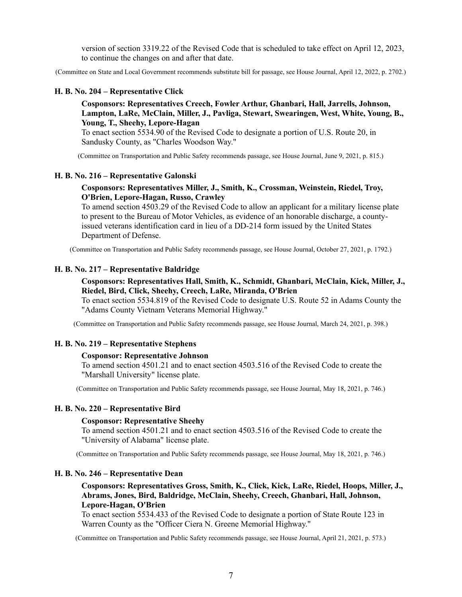version of section 3319.22 of the Revised Code that is scheduled to take effect on April 12, 2023, to continue the changes on and after that date.

(Committee on State and Local Government recommends substitute bill for passage, see House Journal, April 12, 2022, p. 2702.)

#### **H. B. No. 204 – Representative Click**

**Cosponsors: Representatives Creech, Fowler Arthur, Ghanbari, Hall, Jarrells, Johnson, Lampton, LaRe, McClain, Miller, J., Pavliga, Stewart, Swearingen, West, White, Young, B., Young, T., Sheehy, Lepore-Hagan**

To enact section 5534.90 of the Revised Code to designate a portion of U.S. Route 20, in Sandusky County, as "Charles Woodson Way."

(Committee on Transportation and Public Safety recommends passage, see House Journal, June 9, 2021, p. 815.)

#### **H. B. No. 216 – Representative Galonski**

# **Cosponsors: Representatives Miller, J., Smith, K., Crossman, Weinstein, Riedel, Troy, O'Brien, Lepore-Hagan, Russo, Crawley**

To amend section 4503.29 of the Revised Code to allow an applicant for a military license plate to present to the Bureau of Motor Vehicles, as evidence of an honorable discharge, a countyissued veterans identification card in lieu of a DD-214 form issued by the United States Department of Defense.

(Committee on Transportation and Public Safety recommends passage, see House Journal, October 27, 2021, p. 1792.)

# **H. B. No. 217 – Representative Baldridge**

# **Cosponsors: Representatives Hall, Smith, K., Schmidt, Ghanbari, McClain, Kick, Miller, J., Riedel, Bird, Click, Sheehy, Creech, LaRe, Miranda, O'Brien**

To enact section 5534.819 of the Revised Code to designate U.S. Route 52 in Adams County the "Adams County Vietnam Veterans Memorial Highway."

(Committee on Transportation and Public Safety recommends passage, see House Journal, March 24, 2021, p. 398.)

### **H. B. No. 219 – Representative Stephens**

#### **Cosponsor: Representative Johnson**

To amend section 4501.21 and to enact section 4503.516 of the Revised Code to create the "Marshall University" license plate.

(Committee on Transportation and Public Safety recommends passage, see House Journal, May 18, 2021, p. 746.)

# **H. B. No. 220 – Representative Bird**

#### **Cosponsor: Representative Sheehy**

To amend section 4501.21 and to enact section 4503.516 of the Revised Code to create the "University of Alabama" license plate.

(Committee on Transportation and Public Safety recommends passage, see House Journal, May 18, 2021, p. 746.)

#### **H. B. No. 246 – Representative Dean**

# **Cosponsors: Representatives Gross, Smith, K., Click, Kick, LaRe, Riedel, Hoops, Miller, J., Abrams, Jones, Bird, Baldridge, McClain, Sheehy, Creech, Ghanbari, Hall, Johnson, Lepore-Hagan, O'Brien**

To enact section 5534.433 of the Revised Code to designate a portion of State Route 123 in Warren County as the "Officer Ciera N. Greene Memorial Highway."

(Committee on Transportation and Public Safety recommends passage, see House Journal, April 21, 2021, p. 573.)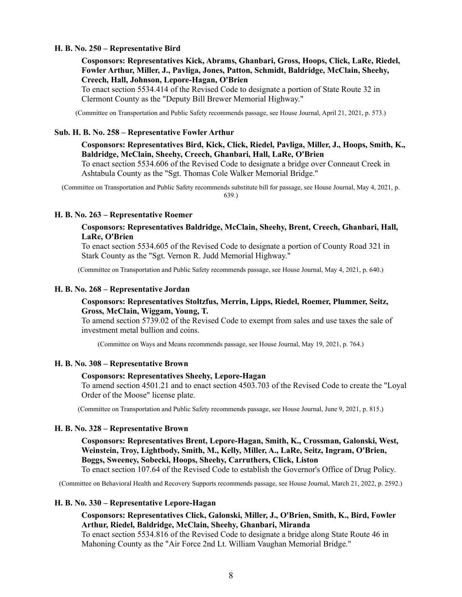### **H. B. No. 250 – Representative Bird**

# **Cosponsors: Representatives Kick, Abrams, Ghanbari, Gross, Hoops, Click, LaRe, Riedel, Fowler Arthur, Miller, J., Pavliga, Jones, Patton, Schmidt, Baldridge, McClain, Sheehy, Creech, Hall, Johnson, Lepore-Hagan, O'Brien**

To enact section 5534.414 of the Revised Code to designate a portion of State Route 32 in Clermont County as the "Deputy Bill Brewer Memorial Highway."

(Committee on Transportation and Public Safety recommends passage, see House Journal, April 21, 2021, p. 573.)

#### **Sub. H. B. No. 258 – Representative Fowler Arthur**

# **Cosponsors: Representatives Bird, Kick, Click, Riedel, Pavliga, Miller, J., Hoops, Smith, K., Baldridge, McClain, Sheehy, Creech, Ghanbari, Hall, LaRe, O'Brien**

To enact section 5534.606 of the Revised Code to designate a bridge over Conneaut Creek in Ashtabula County as the "Sgt. Thomas Cole Walker Memorial Bridge."

(Committee on Transportation and Public Safety recommends substitute bill for passage, see House Journal, May 4, 2021, p. 639.)

#### **H. B. No. 263 – Representative Roemer**

# **Cosponsors: Representatives Baldridge, McClain, Sheehy, Brent, Creech, Ghanbari, Hall, LaRe, O'Brien**

To enact section 5534.605 of the Revised Code to designate a portion of County Road 321 in Stark County as the "Sgt. Vernon R. Judd Memorial Highway."

(Committee on Transportation and Public Safety recommends passage, see House Journal, May 4, 2021, p. 640.)

#### **H. B. No. 268 – Representative Jordan**

# **Cosponsors: Representatives Stoltzfus, Merrin, Lipps, Riedel, Roemer, Plummer, Seitz, Gross, McClain, Wiggam, Young, T.**

To amend section 5739.02 of the Revised Code to exempt from sales and use taxes the sale of investment metal bullion and coins.

(Committee on Ways and Means recommends passage, see House Journal, May 19, 2021, p. 764.)

#### **H. B. No. 308 – Representative Brown**

#### **Cosponsors: Representatives Sheehy, Lepore-Hagan**

To amend section 4501.21 and to enact section 4503.703 of the Revised Code to create the "Loyal Order of the Moose" license plate.

(Committee on Transportation and Public Safety recommends passage, see House Journal, June 9, 2021, p. 815.)

### **H. B. No. 328 – Representative Brown**

**Cosponsors: Representatives Brent, Lepore-Hagan, Smith, K., Crossman, Galonski, West, Weinstein, Troy, Lightbody, Smith, M., Kelly, Miller, A., LaRe, Seitz, Ingram, O'Brien, Boggs, Sweeney, Sobecki, Hoops, Sheehy, Carruthers, Click, Liston**

To enact section 107.64 of the Revised Code to establish the Governor's Office of Drug Policy.

(Committee on Behavioral Health and Recovery Supports recommends passage, see House Journal, March 21, 2022, p. 2592.)

#### **H. B. No. 330 – Representative Lepore-Hagan**

# **Cosponsors: Representatives Click, Galonski, Miller, J., O'Brien, Smith, K., Bird, Fowler Arthur, Riedel, Baldridge, McClain, Sheehy, Ghanbari, Miranda**

To enact section 5534.816 of the Revised Code to designate a bridge along State Route 46 in Mahoning County as the "Air Force 2nd Lt. William Vaughan Memorial Bridge."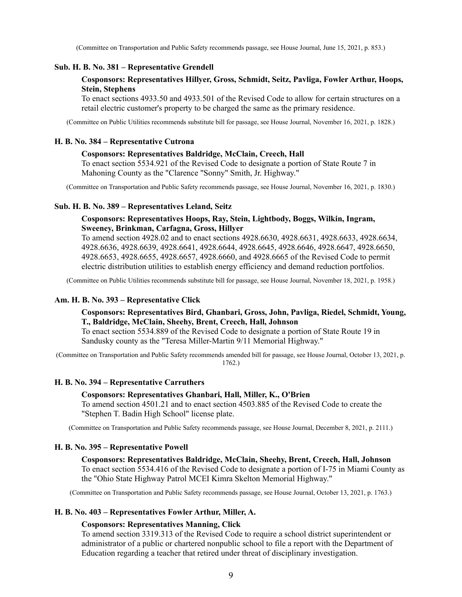(Committee on Transportation and Public Safety recommends passage, see House Journal, June 15, 2021, p. 853.)

### **Sub. H. B. No. 381 – Representative Grendell**

# **Cosponsors: Representatives Hillyer, Gross, Schmidt, Seitz, Pavliga, Fowler Arthur, Hoops, Stein, Stephens**

To enact sections 4933.50 and 4933.501 of the Revised Code to allow for certain structures on a retail electric customer's property to be charged the same as the primary residence.

(Committee on Public Utilities recommends substitute bill for passage, see House Journal, November 16, 2021, p. 1828.)

### **H. B. No. 384 – Representative Cutrona**

#### **Cosponsors: Representatives Baldridge, McClain, Creech, Hall**

To enact section 5534.921 of the Revised Code to designate a portion of State Route 7 in Mahoning County as the "Clarence "Sonny" Smith, Jr. Highway."

(Committee on Transportation and Public Safety recommends passage, see House Journal, November 16, 2021, p. 1830.)

#### **Sub. H. B. No. 389 – Representatives Leland, Seitz**

# **Cosponsors: Representatives Hoops, Ray, Stein, Lightbody, Boggs, Wilkin, Ingram, Sweeney, Brinkman, Carfagna, Gross, Hillyer**

To amend section 4928.02 and to enact sections 4928.6630, 4928.6631, 4928.6633, 4928.6634, 4928.6636, 4928.6639, 4928.6641, 4928.6644, 4928.6645, 4928.6646, 4928.6647, 4928.6650, 4928.6653, 4928.6655, 4928.6657, 4928.6660, and 4928.6665 of the Revised Code to permit electric distribution utilities to establish energy efficiency and demand reduction portfolios.

(Committee on Public Utilities recommends substitute bill for passage, see House Journal, November 18, 2021, p. 1958.)

#### **Am. H. B. No. 393 – Representative Click**

# **Cosponsors: Representatives Bird, Ghanbari, Gross, John, Pavliga, Riedel, Schmidt, Young, T., Baldridge, McClain, Sheehy, Brent, Creech, Hall, Johnson**

To enact section 5534.889 of the Revised Code to designate a portion of State Route 19 in Sandusky county as the "Teresa Miller-Martin 9/11 Memorial Highway."

(Committee on Transportation and Public Safety recommends amended bill for passage, see House Journal, October 13, 2021, p. 1762.)

# **H. B. No. 394 – Representative Carruthers**

#### **Cosponsors: Representatives Ghanbari, Hall, Miller, K., O'Brien**

To amend section 4501.21 and to enact section 4503.885 of the Revised Code to create the "Stephen T. Badin High School" license plate.

(Committee on Transportation and Public Safety recommends passage, see House Journal, December 8, 2021, p. 2111.)

#### **H. B. No. 395 – Representative Powell**

**Cosponsors: Representatives Baldridge, McClain, Sheehy, Brent, Creech, Hall, Johnson** To enact section 5534.416 of the Revised Code to designate a portion of I-75 in Miami County as the "Ohio State Highway Patrol MCEI Kimra Skelton Memorial Highway."

(Committee on Transportation and Public Safety recommends passage, see House Journal, October 13, 2021, p. 1763.)

# **H. B. No. 403 – Representatives Fowler Arthur, Miller, A.**

#### **Cosponsors: Representatives Manning, Click**

To amend section 3319.313 of the Revised Code to require a school district superintendent or administrator of a public or chartered nonpublic school to file a report with the Department of Education regarding a teacher that retired under threat of disciplinary investigation.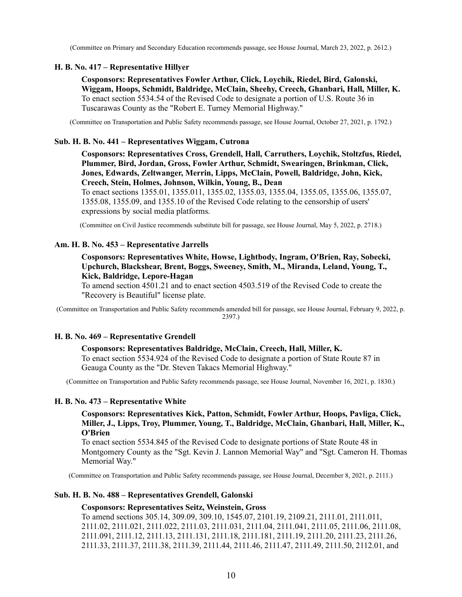(Committee on Primary and Secondary Education recommends passage, see House Journal, March 23, 2022, p. 2612.)

# **H. B. No. 417 – Representative Hillyer**

**Cosponsors: Representatives Fowler Arthur, Click, Loychik, Riedel, Bird, Galonski, Wiggam, Hoops, Schmidt, Baldridge, McClain, Sheehy, Creech, Ghanbari, Hall, Miller, K.** To enact section 5534.54 of the Revised Code to designate a portion of U.S. Route 36 in Tuscarawas County as the "Robert E. Turney Memorial Highway."

(Committee on Transportation and Public Safety recommends passage, see House Journal, October 27, 2021, p. 1792.)

# **Sub. H. B. No. 441 – Representatives Wiggam, Cutrona**

**Cosponsors: Representatives Cross, Grendell, Hall, Carruthers, Loychik, Stoltzfus, Riedel, Plummer, Bird, Jordan, Gross, Fowler Arthur, Schmidt, Swearingen, Brinkman, Click, Jones, Edwards, Zeltwanger, Merrin, Lipps, McClain, Powell, Baldridge, John, Kick, Creech, Stein, Holmes, Johnson, Wilkin, Young, B., Dean**

To enact sections 1355.01, 1355.011, 1355.02, 1355.03, 1355.04, 1355.05, 1355.06, 1355.07, 1355.08, 1355.09, and 1355.10 of the Revised Code relating to the censorship of users' expressions by social media platforms.

(Committee on Civil Justice recommends substitute bill for passage, see House Journal, May 5, 2022, p. 2718.)

# **Am. H. B. No. 453 – Representative Jarrells**

# **Cosponsors: Representatives White, Howse, Lightbody, Ingram, O'Brien, Ray, Sobecki, Upchurch, Blackshear, Brent, Boggs, Sweeney, Smith, M., Miranda, Leland, Young, T., Kick, Baldridge, Lepore-Hagan**

To amend section 4501.21 and to enact section 4503.519 of the Revised Code to create the "Recovery is Beautiful" license plate.

(Committee on Transportation and Public Safety recommends amended bill for passage, see House Journal, February 9, 2022, p. 2397.)

# **H. B. No. 469 – Representative Grendell**

# **Cosponsors: Representatives Baldridge, McClain, Creech, Hall, Miller, K.**

To enact section 5534.924 of the Revised Code to designate a portion of State Route 87 in Geauga County as the "Dr. Steven Takacs Memorial Highway."

(Committee on Transportation and Public Safety recommends passage, see House Journal, November 16, 2021, p. 1830.)

# **H. B. No. 473 – Representative White**

**Cosponsors: Representatives Kick, Patton, Schmidt, Fowler Arthur, Hoops, Pavliga, Click, Miller, J., Lipps, Troy, Plummer, Young, T., Baldridge, McClain, Ghanbari, Hall, Miller, K., O'Brien**

To enact section 5534.845 of the Revised Code to designate portions of State Route 48 in Montgomery County as the "Sgt. Kevin J. Lannon Memorial Way" and "Sgt. Cameron H. Thomas Memorial Way."

(Committee on Transportation and Public Safety recommends passage, see House Journal, December 8, 2021, p. 2111.)

# **Sub. H. B. No. 488 – Representatives Grendell, Galonski**

#### **Cosponsors: Representatives Seitz, Weinstein, Gross**

To amend sections 305.14, 309.09, 309.10, 1545.07, 2101.19, 2109.21, 2111.01, 2111.011, 2111.02, 2111.021, 2111.022, 2111.03, 2111.031, 2111.04, 2111.041, 2111.05, 2111.06, 2111.08, 2111.091, 2111.12, 2111.13, 2111.131, 2111.18, 2111.181, 2111.19, 2111.20, 2111.23, 2111.26, 2111.33, 2111.37, 2111.38, 2111.39, 2111.44, 2111.46, 2111.47, 2111.49, 2111.50, 2112.01, and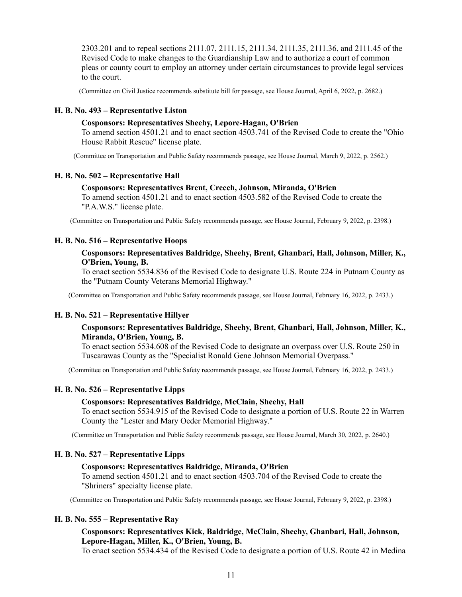2303.201 and to repeal sections 2111.07, 2111.15, 2111.34, 2111.35, 2111.36, and 2111.45 of the Revised Code to make changes to the Guardianship Law and to authorize a court of common pleas or county court to employ an attorney under certain circumstances to provide legal services to the court.

(Committee on Civil Justice recommends substitute bill for passage, see House Journal, April 6, 2022, p. 2682.)

### **H. B. No. 493 – Representative Liston**

#### **Cosponsors: Representatives Sheehy, Lepore-Hagan, O'Brien**

To amend section 4501.21 and to enact section 4503.741 of the Revised Code to create the "Ohio House Rabbit Rescue" license plate.

(Committee on Transportation and Public Safety recommends passage, see House Journal, March 9, 2022, p. 2562.)

### **H. B. No. 502 – Representative Hall**

### **Cosponsors: Representatives Brent, Creech, Johnson, Miranda, O'Brien**

To amend section 4501.21 and to enact section 4503.582 of the Revised Code to create the "P.A.W.S." license plate.

(Committee on Transportation and Public Safety recommends passage, see House Journal, February 9, 2022, p. 2398.)

# **H. B. No. 516 – Representative Hoops**

# **Cosponsors: Representatives Baldridge, Sheehy, Brent, Ghanbari, Hall, Johnson, Miller, K., O'Brien, Young, B.**

To enact section 5534.836 of the Revised Code to designate U.S. Route 224 in Putnam County as the "Putnam County Veterans Memorial Highway."

(Committee on Transportation and Public Safety recommends passage, see House Journal, February 16, 2022, p. 2433.)

# **H. B. No. 521 – Representative Hillyer**

# **Cosponsors: Representatives Baldridge, Sheehy, Brent, Ghanbari, Hall, Johnson, Miller, K., Miranda, O'Brien, Young, B.**

To enact section 5534.608 of the Revised Code to designate an overpass over U.S. Route 250 in Tuscarawas County as the "Specialist Ronald Gene Johnson Memorial Overpass."

(Committee on Transportation and Public Safety recommends passage, see House Journal, February 16, 2022, p. 2433.)

# **H. B. No. 526 – Representative Lipps**

#### **Cosponsors: Representatives Baldridge, McClain, Sheehy, Hall**

To enact section 5534.915 of the Revised Code to designate a portion of U.S. Route 22 in Warren County the "Lester and Mary Oeder Memorial Highway."

(Committee on Transportation and Public Safety recommends passage, see House Journal, March 30, 2022, p. 2640.)

### **H. B. No. 527 – Representative Lipps**

### **Cosponsors: Representatives Baldridge, Miranda, O'Brien**

To amend section 4501.21 and to enact section 4503.704 of the Revised Code to create the "Shriners" specialty license plate.

(Committee on Transportation and Public Safety recommends passage, see House Journal, February 9, 2022, p. 2398.)

### **H. B. No. 555 – Representative Ray**

# **Cosponsors: Representatives Kick, Baldridge, McClain, Sheehy, Ghanbari, Hall, Johnson, Lepore-Hagan, Miller, K., O'Brien, Young, B.**

To enact section 5534.434 of the Revised Code to designate a portion of U.S. Route 42 in Medina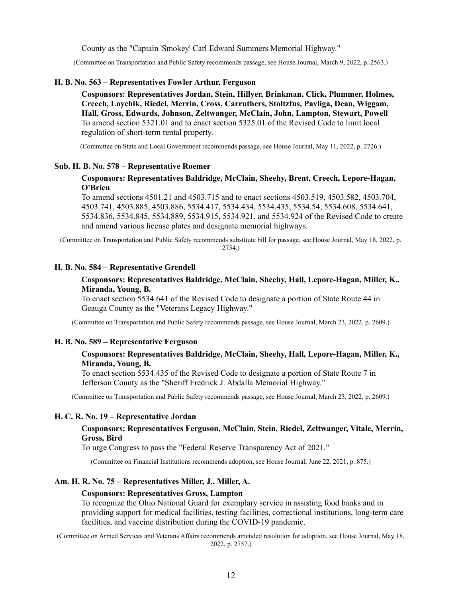County as the "Captain 'Smokey' Carl Edward Summers Memorial Highway."

(Committee on Transportation and Public Safety recommends passage, see House Journal, March 9, 2022, p. 2563.)

### **H. B. No. 563 – Representatives Fowler Arthur, Ferguson**

**Cosponsors: Representatives Jordan, Stein, Hillyer, Brinkman, Click, Plummer, Holmes, Creech, Loychik, Riedel, Merrin, Cross, Carruthers, Stoltzfus, Pavliga, Dean, Wiggam, Hall, Gross, Edwards, Johnson, Zeltwanger, McClain, John, Lampton, Stewart, Powell** To amend section 5321.01 and to enact section 5325.01 of the Revised Code to limit local regulation of short-term rental property.

(Committee on State and Local Government recommends passage, see House Journal, May 11, 2022, p. 2726.)

### **Sub. H. B. No. 578 – Representative Roemer**

# **Cosponsors: Representatives Baldridge, McClain, Sheehy, Brent, Creech, Lepore-Hagan, O'Brien**

To amend sections 4501.21 and 4503.715 and to enact sections 4503.519, 4503.582, 4503.704, 4503.741, 4503.885, 4503.886, 5534.417, 5534.434, 5534.435, 5534.54, 5534.608, 5534.641, 5534.836, 5534.845, 5534.889, 5534.915, 5534.921, and 5534.924 of the Revised Code to create and amend various license plates and designate memorial highways.

(Committee on Transportation and Public Safety recommends substitute bill for passage, see House Journal, May 18, 2022, p. 2754.)

# **H. B. No. 584 – Representative Grendell**

# **Cosponsors: Representatives Baldridge, McClain, Sheehy, Hall, Lepore-Hagan, Miller, K., Miranda, Young, B.**

To enact section 5534.641 of the Revised Code to designate a portion of State Route 44 in Geauga County as the "Veterans Legacy Highway."

(Committee on Transportation and Public Safety recommends passage, see House Journal, March 23, 2022, p. 2609.)

#### **H. B. No. 589 – Representative Ferguson**

# **Cosponsors: Representatives Baldridge, McClain, Sheehy, Hall, Lepore-Hagan, Miller, K., Miranda, Young, B.**

To enact section 5534.435 of the Revised Code to designate a portion of State Route 7 in Jefferson County as the "Sheriff Fredrick J. Abdalla Memorial Highway."

(Committee on Transportation and Public Safety recommends passage, see House Journal, March 23, 2022, p. 2609.)

### **H. C. R. No. 19 – Representative Jordan**

# **Cosponsors: Representatives Ferguson, McClain, Stein, Riedel, Zeltwanger, Vitale, Merrin, Gross, Bird**

To urge Congress to pass the "Federal Reserve Transparency Act of 2021."

(Committee on Financial Institutions recommends adoption, see House Journal, June 22, 2021, p. 875.)

# **Am. H. R. No. 75 – Representatives Miller, J., Miller, A.**

#### **Cosponsors: Representatives Gross, Lampton**

To recognize the Ohio National Guard for exemplary service in assisting food banks and in providing support for medical facilities, testing facilities, correctional institutions, long-term care facilities, and vaccine distribution during the COVID-19 pandemic.

(Committee on Armed Services and Veterans Affairs recommends amended resolution for adoption, see House Journal, May 18, 2022, p. 2757.)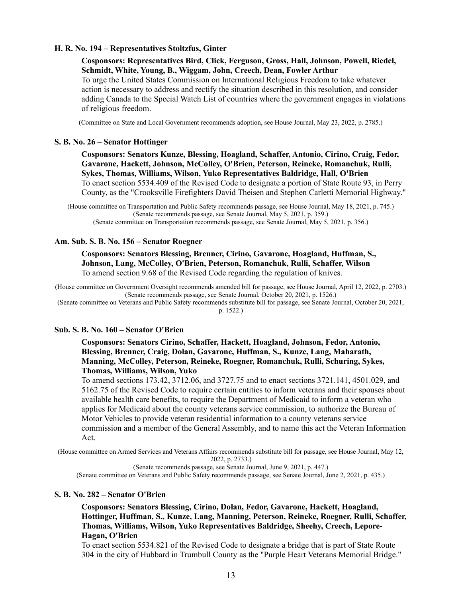### **H. R. No. 194 – Representatives Stoltzfus, Ginter**

**Cosponsors: Representatives Bird, Click, Ferguson, Gross, Hall, Johnson, Powell, Riedel, Schmidt, White, Young, B., Wiggam, John, Creech, Dean, Fowler Arthur** To urge the United States Commission on International Religious Freedom to take whatever action is necessary to address and rectify the situation described in this resolution, and consider adding Canada to the Special Watch List of countries where the government engages in violations of religious freedom.

(Committee on State and Local Government recommends adoption, see House Journal, May 23, 2022, p. 2785.)

#### **S. B. No. 26 – Senator Hottinger**

**Cosponsors: Senators Kunze, Blessing, Hoagland, Schaffer, Antonio, Cirino, Craig, Fedor, Gavarone, Hackett, Johnson, McColley, O'Brien, Peterson, Reineke, Romanchuk, Rulli, Sykes, Thomas, Williams, Wilson, Yuko Representatives Baldridge, Hall, O'Brien** To enact section 5534.409 of the Revised Code to designate a portion of State Route 93, in Perry County, as the "Crooksville Firefighters David Theisen and Stephen Carletti Memorial Highway."

(House committee on Transportation and Public Safety recommends passage, see House Journal, May 18, 2021, p. 745.) (Senate recommends passage, see Senate Journal, May 5, 2021, p. 359.) (Senate committee on Transportation recommends passage, see Senate Journal, May 5, 2021, p. 356.)

#### **Am. Sub. S. B. No. 156 – Senator Roegner**

**Cosponsors: Senators Blessing, Brenner, Cirino, Gavarone, Hoagland, Huffman, S., Johnson, Lang, McColley, O'Brien, Peterson, Romanchuk, Rulli, Schaffer, Wilson** To amend section 9.68 of the Revised Code regarding the regulation of knives.

(House committee on Government Oversight recommends amended bill for passage, see House Journal, April 12, 2022, p. 2703.) (Senate recommends passage, see Senate Journal, October 20, 2021, p. 1526.)

(Senate committee on Veterans and Public Safety recommends substitute bill for passage, see Senate Journal, October 20, 2021,

#### p. 1522.)

#### **Sub. S. B. No. 160 – Senator O'Brien**

# **Cosponsors: Senators Cirino, Schaffer, Hackett, Hoagland, Johnson, Fedor, Antonio, Blessing, Brenner, Craig, Dolan, Gavarone, Huffman, S., Kunze, Lang, Maharath, Manning, McColley, Peterson, Reineke, Roegner, Romanchuk, Rulli, Schuring, Sykes, Thomas, Williams, Wilson, Yuko**

To amend sections 173.42, 3712.06, and 3727.75 and to enact sections 3721.141, 4501.029, and 5162.75 of the Revised Code to require certain entities to inform veterans and their spouses about available health care benefits, to require the Department of Medicaid to inform a veteran who applies for Medicaid about the county veterans service commission, to authorize the Bureau of Motor Vehicles to provide veteran residential information to a county veterans service commission and a member of the General Assembly, and to name this act the Veteran Information Act.

(House committee on Armed Services and Veterans Affairs recommends substitute bill for passage, see House Journal, May 12,

2022, p. 2733.)

(Senate recommends passage, see Senate Journal, June 9, 2021, p. 447.)

(Senate committee on Veterans and Public Safety recommends passage, see Senate Journal, June 2, 2021, p. 435.)

# **S. B. No. 282 – Senator O'Brien**

**Cosponsors: Senators Blessing, Cirino, Dolan, Fedor, Gavarone, Hackett, Hoagland, Hottinger, Huffman, S., Kunze, Lang, Manning, Peterson, Reineke, Roegner, Rulli, Schaffer, Thomas, Williams, Wilson, Yuko Representatives Baldridge, Sheehy, Creech, Lepore-Hagan, O'Brien**

To enact section 5534.821 of the Revised Code to designate a bridge that is part of State Route 304 in the city of Hubbard in Trumbull County as the "Purple Heart Veterans Memorial Bridge."